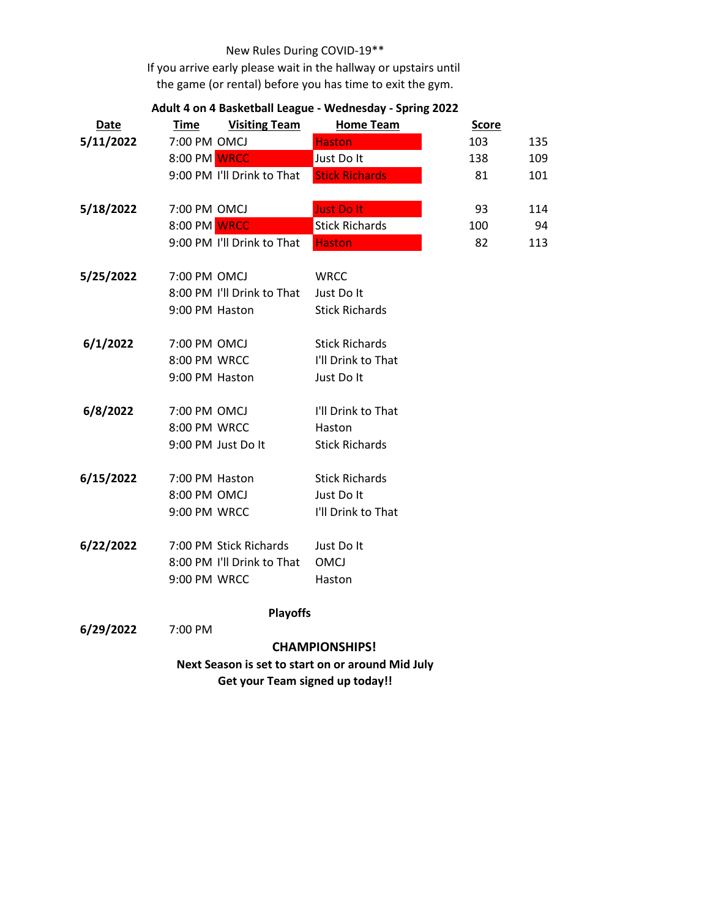## New Rules During COVID-19\*\*

If you arrive early please wait in the hallway or upstairs until the game (or rental) before you has time to exit the gym.

| <b>Date</b>                                                                                 | <u>Time</u>    | <b>Visiting Team</b>       | <b>Home Team</b>      | <b>Score</b> |     |
|---------------------------------------------------------------------------------------------|----------------|----------------------------|-----------------------|--------------|-----|
| 5/11/2022                                                                                   | 7:00 PM OMCJ   |                            | <b>Haston</b>         | 103          | 135 |
|                                                                                             | 8:00 PM WRCC   |                            | Just Do It            | 138          | 109 |
|                                                                                             |                | 9:00 PM I'll Drink to That | <b>Stick Richards</b> | 81           | 101 |
| 5/18/2022                                                                                   | 7:00 PM OMCJ   |                            | <b>Just Do It</b>     | 93           | 114 |
|                                                                                             | 8:00 PM WRCC   |                            | <b>Stick Richards</b> | 100          | 94  |
|                                                                                             |                | 9:00 PM I'll Drink to That | <b>Haston</b>         | 82           | 113 |
| 5/25/2022                                                                                   | 7:00 PM OMCJ   |                            | WRCC                  |              |     |
|                                                                                             |                | 8:00 PM I'll Drink to That | Just Do It            |              |     |
|                                                                                             | 9:00 PM Haston |                            | <b>Stick Richards</b> |              |     |
| 6/1/2022                                                                                    | 7:00 PM OMCJ   |                            | <b>Stick Richards</b> |              |     |
|                                                                                             | 8:00 PM WRCC   |                            | I'll Drink to That    |              |     |
|                                                                                             | 9:00 PM Haston |                            | Just Do It            |              |     |
| 6/8/2022                                                                                    | 7:00 PM OMCJ   |                            | I'll Drink to That    |              |     |
|                                                                                             | 8:00 PM WRCC   |                            | Haston                |              |     |
|                                                                                             |                | 9:00 PM Just Do It         | <b>Stick Richards</b> |              |     |
| 6/15/2022                                                                                   | 7:00 PM Haston |                            | <b>Stick Richards</b> |              |     |
|                                                                                             | 8:00 PM OMCJ   |                            | Just Do It            |              |     |
|                                                                                             | 9:00 PM WRCC   |                            | I'll Drink to That    |              |     |
| 6/22/2022                                                                                   |                | 7:00 PM Stick Richards     | Just Do It            |              |     |
|                                                                                             |                | 8:00 PM I'll Drink to That | <b>OMCJ</b>           |              |     |
|                                                                                             | 9:00 PM WRCC   |                            | Haston                |              |     |
|                                                                                             |                | <b>Playoffs</b>            |                       |              |     |
| 6/29/2022                                                                                   | 7:00 PM        |                            |                       |              |     |
|                                                                                             |                |                            | <b>CHAMPIONSHIPS!</b> |              |     |
| Next Season is set to start on or around Mid July<br><b>Get your Team signed up today!!</b> |                |                            |                       |              |     |

## **Adult 4 on 4 Basketball League - Wednesday - Spring 2022**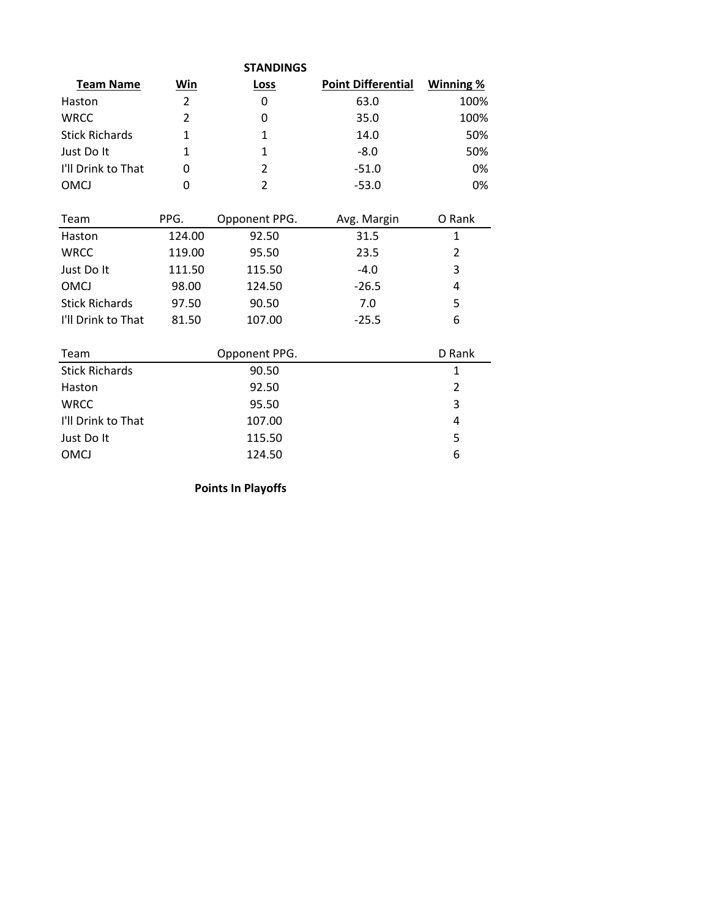| <b>STANDINGS</b> |      |                           |           |  |  |  |  |
|------------------|------|---------------------------|-----------|--|--|--|--|
| Win              | Loss | <b>Point Differential</b> | Winning % |  |  |  |  |
| 2                | 0    | 63.0                      | 100%      |  |  |  |  |
| $\mathcal{P}$    | 0    | 35.0                      | 100%      |  |  |  |  |
| 1                |      | 14.0                      | 50%       |  |  |  |  |
|                  | 1    | $-8.0$                    | 50%       |  |  |  |  |
| 0                | 2    | $-51.0$                   | 0%        |  |  |  |  |
|                  | C    | $-53.0$                   | 0%        |  |  |  |  |
|                  |      |                           |           |  |  |  |  |

| Team                  | PPG.   | Opponent PPG. | Avg. Margin | O Rank |
|-----------------------|--------|---------------|-------------|--------|
| Haston                | 124.00 | 92.50         | 31.5        | 1      |
| <b>WRCC</b>           | 119.00 | 95.50         | 23.5        | 2      |
| Just Do It            | 111.50 | 115.50        | $-4.0$      | 3      |
| OMCJ                  | 98.00  | 124.50        | $-26.5$     | 4      |
| <b>Stick Richards</b> | 97.50  | 90.50         | 7.0         | 5      |
| I'll Drink to That    | 81.50  | 107.00        | $-25.5$     | 6      |
|                       |        |               |             |        |
| Team                  |        | Opponent PPG. |             | D Rank |
| <b>Stick Richards</b> |        | 90.50         |             | 1      |
| Haston                |        | 92.50         |             | 2      |
| <b>WRCC</b>           |        | 95.50         |             | 3      |
| I'll Drink to That    |        | 107.00        |             | 4      |
| Just Do It            |        | 115.50        |             | 5      |
| OMCJ                  |        | 124.50        |             | 6      |

**Points In Playoffs**